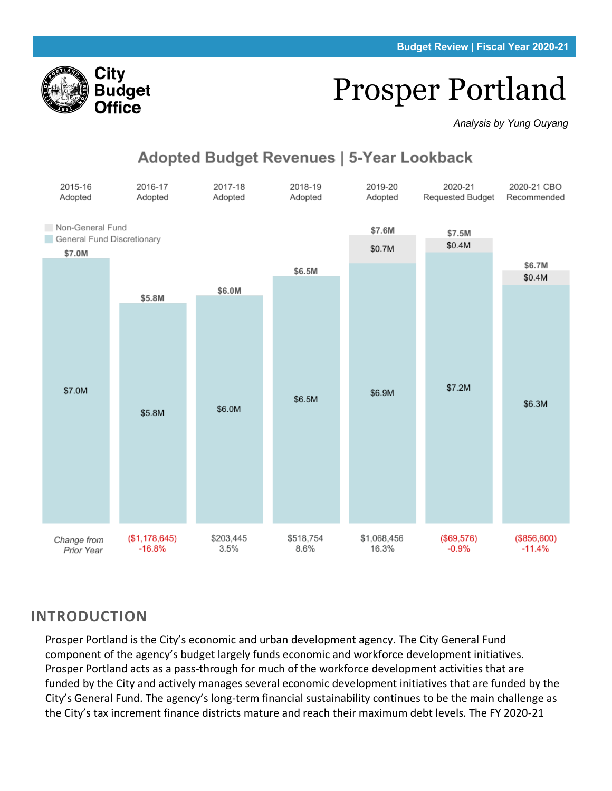# Prosper Portland

*Analysis by Yung Ouyang*

# Adopted Budget Revenues | 5-Year Lookback



# **INTRODUCTION**

Prosper Portland is the City's economic and urban development agency. The City General Fund component of the agency's budget largely funds economic and workforce development initiatives. Prosper Portland acts as a pass-through for much of the workforce development activities that are funded by the City and actively manages several economic development initiatives that are funded by the City's General Fund. The agency's long-term financial sustainability continues to be the main challenge as the City's tax increment finance districts mature and reach their maximum debt levels. The FY 2020-21

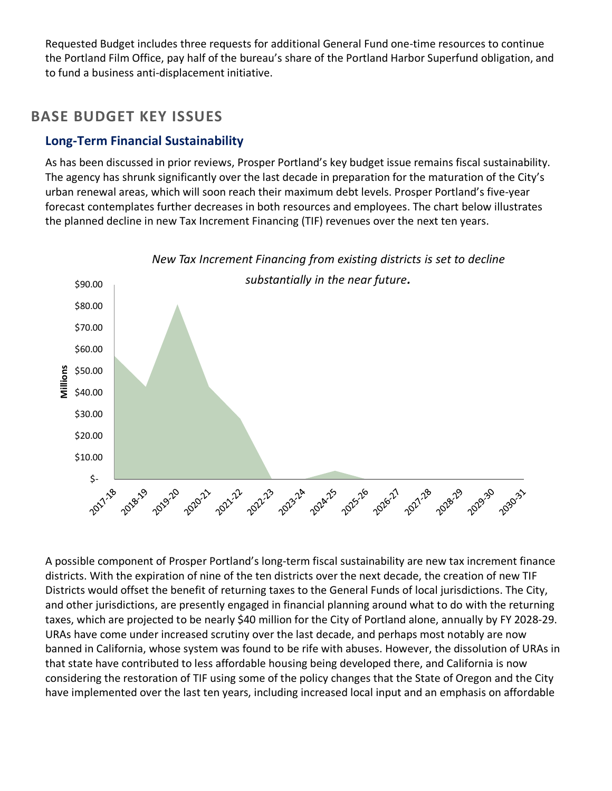Requested Budget includes three requests for additional General Fund one-time resources to continue the Portland Film Office, pay half of the bureau's share of the Portland Harbor Superfund obligation, and to fund a business anti-displacement initiative.

## **BASE BUDGET KEY ISSUES**

## **Long-Term Financial Sustainability**

As has been discussed in prior reviews, Prosper Portland's key budget issue remains fiscal sustainability. The agency has shrunk significantly over the last decade in preparation for the maturation of the City's urban renewal areas, which will soon reach their maximum debt levels. Prosper Portland's five-year forecast contemplates further decreases in both resources and employees. The chart below illustrates the planned decline in new Tax Increment Financing (TIF) revenues over the next ten years.



A possible component of Prosper Portland's long-term fiscal sustainability are new tax increment finance districts. With the expiration of nine of the ten districts over the next decade, the creation of new TIF Districts would offset the benefit of returning taxes to the General Funds of local jurisdictions. The City, and other jurisdictions, are presently engaged in financial planning around what to do with the returning taxes, which are projected to be nearly \$40 million for the City of Portland alone, annually by FY 2028-29. URAs have come under increased scrutiny over the last decade, and perhaps most notably are now banned in California, whose system was found to be rife with abuses. However, the dissolution of URAs in that state have contributed to less affordable housing being developed there, and California is now considering the restoration of TIF using some of the policy changes that the State of Oregon and the City have implemented over the last ten years, including increased local input and an emphasis on affordable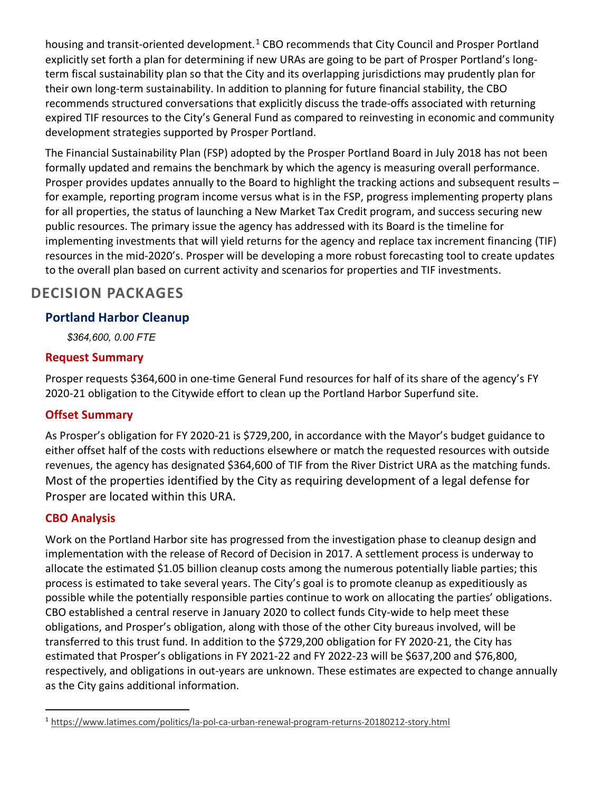housing and transit-oriented development.<sup>[1](#page-2-0)</sup> CBO recommends that City Council and Prosper Portland explicitly set forth a plan for determining if new URAs are going to be part of Prosper Portland's longterm fiscal sustainability plan so that the City and its overlapping jurisdictions may prudently plan for their own long-term sustainability. In addition to planning for future financial stability, the CBO recommends structured conversations that explicitly discuss the trade-offs associated with returning expired TIF resources to the City's General Fund as compared to reinvesting in economic and community development strategies supported by Prosper Portland.

The Financial Sustainability Plan (FSP) adopted by the Prosper Portland Board in July 2018 has not been formally updated and remains the benchmark by which the agency is measuring overall performance. Prosper provides updates annually to the Board to highlight the tracking actions and subsequent results – for example, reporting program income versus what is in the FSP, progress implementing property plans for all properties, the status of launching a New Market Tax Credit program, and success securing new public resources. The primary issue the agency has addressed with its Board is the timeline for implementing investments that will yield returns for the agency and replace tax increment financing (TIF) resources in the mid-2020's. Prosper will be developing a more robust forecasting tool to create updates to the overall plan based on current activity and scenarios for properties and TIF investments.

# **DECISION PACKAGES**

## **Portland Harbor Cleanup**

*\$364,600, 0.00 FTE*

## **Request Summary**

Prosper requests \$364,600 in one-time General Fund resources for half of its share of the agency's FY 2020-21 obligation to the Citywide effort to clean up the Portland Harbor Superfund site.

## **Offset Summary**

As Prosper's obligation for FY 2020-21 is \$729,200, in accordance with the Mayor's budget guidance to either offset half of the costs with reductions elsewhere or match the requested resources with outside revenues, the agency has designated \$364,600 of TIF from the River District URA as the matching funds. Most of the properties identified by the City as requiring development of a legal defense for Prosper are located within this URA.

## **CBO Analysis**

Work on the Portland Harbor site has progressed from the investigation phase to cleanup design and implementation with the release of Record of Decision in 2017. A settlement process is underway to allocate the estimated \$1.05 billion cleanup costs among the numerous potentially liable parties; this process is estimated to take several years. The City's goal is to promote cleanup as expeditiously as possible while the potentially responsible parties continue to work on allocating the parties' obligations. CBO established a central reserve in January 2020 to collect funds City-wide to help meet these obligations, and Prosper's obligation, along with those of the other City bureaus involved, will be transferred to this trust fund. In addition to the \$729,200 obligation for FY 2020-21, the City has estimated that Prosper's obligations in FY 2021-22 and FY 2022-23 will be \$637,200 and \$76,800, respectively, and obligations in out-years are unknown. These estimates are expected to change annually as the City gains additional information.

<span id="page-2-0"></span><sup>1</sup> <https://www.latimes.com/politics/la-pol-ca-urban-renewal-program-returns-20180212-story.html>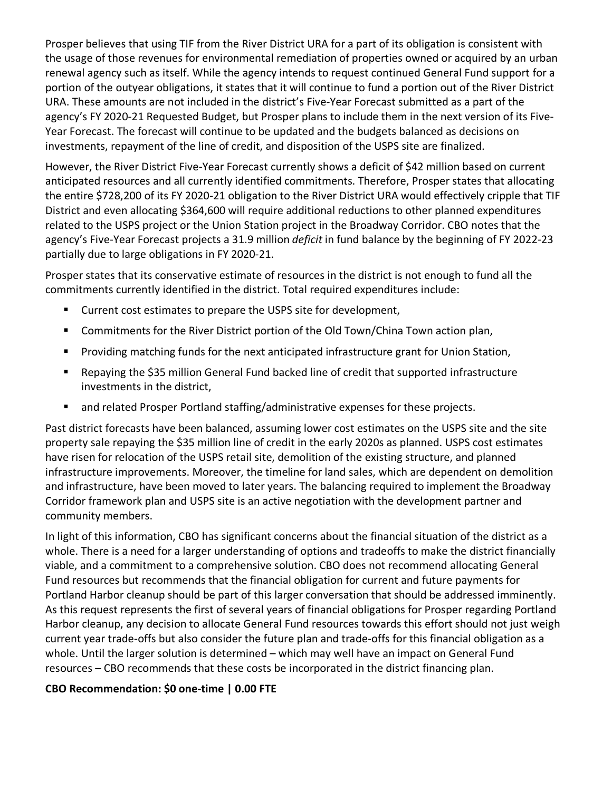Prosper believes that using TIF from the River District URA for a part of its obligation is consistent with the usage of those revenues for environmental remediation of properties owned or acquired by an urban renewal agency such as itself. While the agency intends to request continued General Fund support for a portion of the outyear obligations, it states that it will continue to fund a portion out of the River District URA. These amounts are not included in the district's Five-Year Forecast submitted as a part of the agency's FY 2020-21 Requested Budget, but Prosper plans to include them in the next version of its Five-Year Forecast. The forecast will continue to be updated and the budgets balanced as decisions on investments, repayment of the line of credit, and disposition of the USPS site are finalized.

However, the River District Five-Year Forecast currently shows a deficit of \$42 million based on current anticipated resources and all currently identified commitments. Therefore, Prosper states that allocating the entire \$728,200 of its FY 2020-21 obligation to the River District URA would effectively cripple that TIF District and even allocating \$364,600 will require additional reductions to other planned expenditures related to the USPS project or the Union Station project in the Broadway Corridor. CBO notes that the agency's Five-Year Forecast projects a 31.9 million *deficit* in fund balance by the beginning of FY 2022-23 partially due to large obligations in FY 2020-21.

Prosper states that its conservative estimate of resources in the district is not enough to fund all the commitments currently identified in the district. Total required expenditures include:

- Current cost estimates to prepare the USPS site for development,
- **EXEDENT** Commitments for the River District portion of the Old Town/China Town action plan,
- **Providing matching funds for the next anticipated infrastructure grant for Union Station,**
- Repaying the \$35 million General Fund backed line of credit that supported infrastructure investments in the district,
- and related Prosper Portland staffing/administrative expenses for these projects.

Past district forecasts have been balanced, assuming lower cost estimates on the USPS site and the site property sale repaying the \$35 million line of credit in the early 2020s as planned. USPS cost estimates have risen for relocation of the USPS retail site, demolition of the existing structure, and planned infrastructure improvements. Moreover, the timeline for land sales, which are dependent on demolition and infrastructure, have been moved to later years. The balancing required to implement the Broadway Corridor framework plan and USPS site is an active negotiation with the development partner and community members.

In light of this information, CBO has significant concerns about the financial situation of the district as a whole. There is a need for a larger understanding of options and tradeoffs to make the district financially viable, and a commitment to a comprehensive solution. CBO does not recommend allocating General Fund resources but recommends that the financial obligation for current and future payments for Portland Harbor cleanup should be part of this larger conversation that should be addressed imminently. As this request represents the first of several years of financial obligations for Prosper regarding Portland Harbor cleanup, any decision to allocate General Fund resources towards this effort should not just weigh current year trade-offs but also consider the future plan and trade-offs for this financial obligation as a whole. Until the larger solution is determined - which may well have an impact on General Fund resources – CBO recommends that these costs be incorporated in the district financing plan.

#### **CBO Recommendation: \$0 one-time | 0.00 FTE**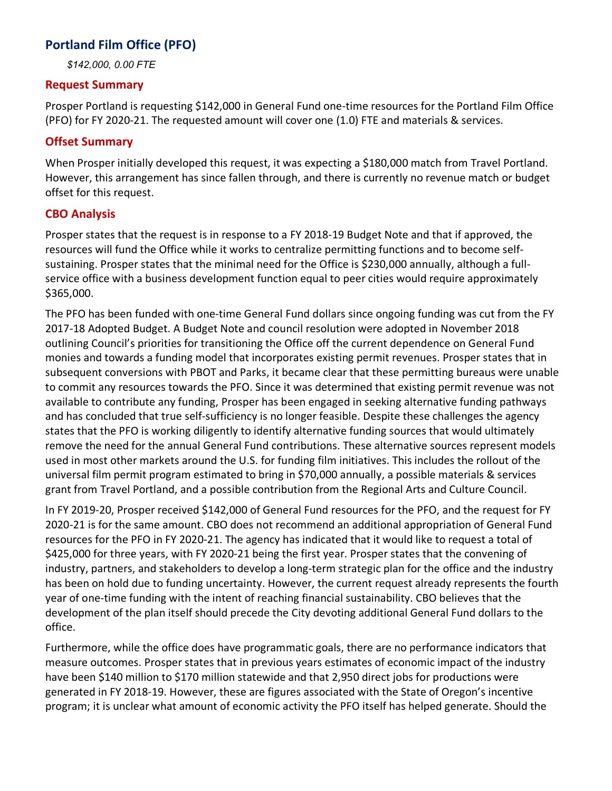## **Portland Film Office (PFO)**

*\$142,000, 0.00 FTE*

#### **Request Summary**

Prosper Portland is requesting \$142,000 in General Fund one-time resources for the Portland Film Office (PFO) for FY 2020-21. The requested amount will cover one (1.0) FTE and materials & services.

#### **Offset Summary**

When Prosper initially developed this request, it was expecting a \$180,000 match from Travel Portland. However, this arrangement has since fallen through, and there is currently no revenue match or budget offset for this request.

#### **CBO Analysis**

Prosper states that the request is in response to a FY 2018-19 Budget Note and that if approved, the resources will fund the Office while it works to centralize permitting functions and to become selfsustaining. Prosper states that the minimal need for the Office is \$230,000 annually, although a fullservice office with a business development function equal to peer cities would require approximately \$365,000.

The PFO has been funded with one-time General Fund dollars since ongoing funding was cut from the FY 2017-18 Adopted Budget. A Budget Note and council resolution were adopted in November 2018 outlining Council's priorities for transitioning the Office off the current dependence on General Fund monies and towards a funding model that incorporates existing permit revenues. Prosper states that in subsequent conversions with PBOT and Parks, it became clear that these permitting bureaus were unable to commit any resources towards the PFO. Since it was determined that existing permit revenue was not available to contribute any funding, Prosper has been engaged in seeking alternative funding pathways and has concluded that true self-sufficiency is no longer feasible. Despite these challenges the agency states that the PFO is working diligently to identify alternative funding sources that would ultimately remove the need for the annual General Fund contributions. These alternative sources represent models used in most other markets around the U.S. for funding film initiatives. This includes the rollout of the universal film permit program estimated to bring in \$70,000 annually, a possible materials & services grant from Travel Portland, and a possible contribution from the Regional Arts and Culture Council.

In FY 2019-20, Prosper received \$142,000 of General Fund resources for the PFO, and the request for FY 2020-21 is for the same amount. CBO does not recommend an additional appropriation of General Fund resources for the PFO in FY 2020-21. The agency has indicated that it would like to request a total of \$425,000 for three years, with FY 2020-21 being the first year. Prosper states that the convening of industry, partners, and stakeholders to develop a long-term strategic plan for the office and the industry has been on hold due to funding uncertainty. However, the current request already represents the fourth year of one-time funding with the intent of reaching financial sustainability. CBO believes that the development of the plan itself should precede the City devoting additional General Fund dollars to the office.

Furthermore, while the office does have programmatic goals, there are no performance indicators that measure outcomes. Prosper states that in previous years estimates of economic impact of the industry have been \$140 million to \$170 million statewide and that 2,950 direct jobs for productions were generated in FY 2018-19. However, these are figures associated with the State of Oregon's incentive program; it is unclear what amount of economic activity the PFO itself has helped generate. Should the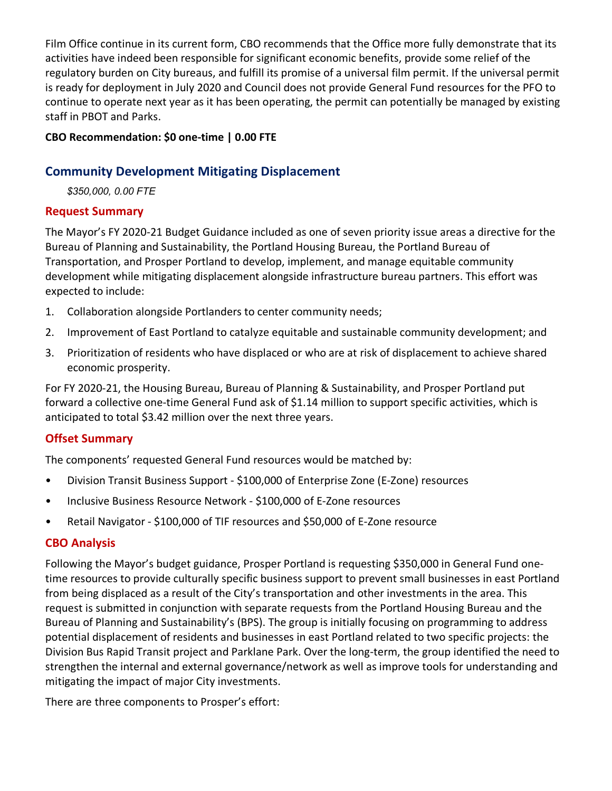Film Office continue in its current form, CBO recommends that the Office more fully demonstrate that its activities have indeed been responsible for significant economic benefits, provide some relief of the regulatory burden on City bureaus, and fulfill its promise of a universal film permit. If the universal permit is ready for deployment in July 2020 and Council does not provide General Fund resources for the PFO to continue to operate next year as it has been operating, the permit can potentially be managed by existing staff in PBOT and Parks.

#### **CBO Recommendation: \$0 one-time | 0.00 FTE**

## **Community Development Mitigating Displacement**

*\$350,000, 0.00 FTE*

## **Request Summary**

The Mayor's FY 2020-21 Budget Guidance included as one of seven priority issue areas a directive for the Bureau of Planning and Sustainability, the Portland Housing Bureau, the Portland Bureau of Transportation, and Prosper Portland to develop, implement, and manage equitable community development while mitigating displacement alongside infrastructure bureau partners. This effort was expected to include:

- 1. Collaboration alongside Portlanders to center community needs;
- 2. Improvement of East Portland to catalyze equitable and sustainable community development; and
- 3. Prioritization of residents who have displaced or who are at risk of displacement to achieve shared economic prosperity.

For FY 2020-21, the Housing Bureau, Bureau of Planning & Sustainability, and Prosper Portland put forward a collective one-time General Fund ask of \$1.14 million to support specific activities, which is anticipated to total \$3.42 million over the next three years.

## **Offset Summary**

The components' requested General Fund resources would be matched by:

- Division Transit Business Support \$100,000 of Enterprise Zone (E-Zone) resources
- Inclusive Business Resource Network \$100,000 of E-Zone resources
- Retail Navigator \$100,000 of TIF resources and \$50,000 of E-Zone resource

## **CBO Analysis**

Following the Mayor's budget guidance, Prosper Portland is requesting \$350,000 in General Fund onetime resources to provide culturally specific business support to prevent small businesses in east Portland from being displaced as a result of the City's transportation and other investments in the area. This request is submitted in conjunction with separate requests from the Portland Housing Bureau and the Bureau of Planning and Sustainability's (BPS). The group is initially focusing on programming to address potential displacement of residents and businesses in east Portland related to two specific projects: the Division Bus Rapid Transit project and Parklane Park. Over the long-term, the group identified the need to strengthen the internal and external governance/network as well as improve tools for understanding and mitigating the impact of major City investments.

There are three components to Prosper's effort: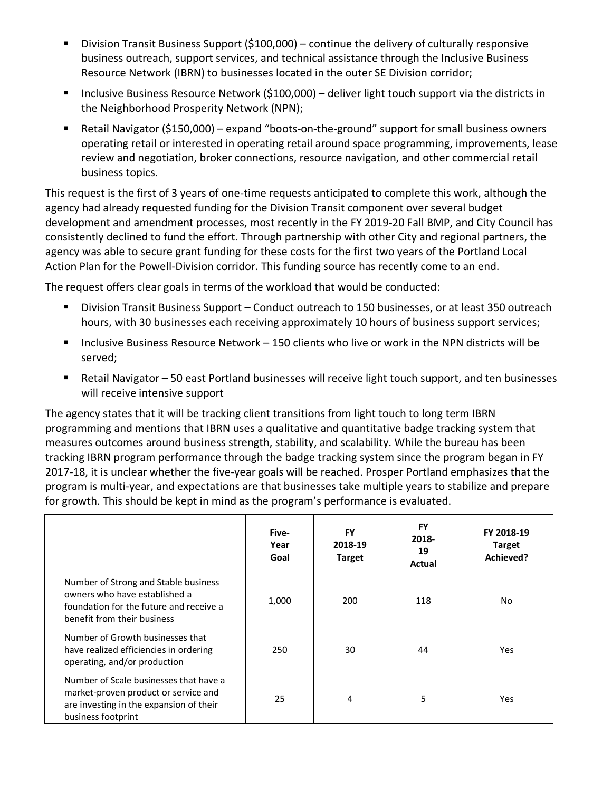- **Division Transit Business Support (\$100,000)** continue the delivery of culturally responsive business outreach, support services, and technical assistance through the Inclusive Business Resource Network (IBRN) to businesses located in the outer SE Division corridor;
- Inclusive Business Resource Network (\$100,000) deliver light touch support via the districts in the Neighborhood Prosperity Network (NPN);
- Retail Navigator (\$150,000) expand "boots-on-the-ground" support for small business owners operating retail or interested in operating retail around space programming, improvements, lease review and negotiation, broker connections, resource navigation, and other commercial retail business topics.

This request is the first of 3 years of one-time requests anticipated to complete this work, although the agency had already requested funding for the Division Transit component over several budget development and amendment processes, most recently in the FY 2019-20 Fall BMP, and City Council has consistently declined to fund the effort. Through partnership with other City and regional partners, the agency was able to secure grant funding for these costs for the first two years of the Portland Local Action Plan for the Powell-Division corridor. This funding source has recently come to an end.

The request offers clear goals in terms of the workload that would be conducted:

- Division Transit Business Support Conduct outreach to 150 businesses, or at least 350 outreach hours, with 30 businesses each receiving approximately 10 hours of business support services;
- Inclusive Business Resource Network 150 clients who live or work in the NPN districts will be served;
- Retail Navigator 50 east Portland businesses will receive light touch support, and ten businesses will receive intensive support

The agency states that it will be tracking client transitions from light touch to long term IBRN programming and mentions that IBRN uses a qualitative and quantitative badge tracking system that measures outcomes around business strength, stability, and scalability. While the bureau has been tracking IBRN program performance through the badge tracking system since the program began in FY 2017-18, it is unclear whether the five-year goals will be reached. Prosper Portland emphasizes that the program is multi-year, and expectations are that businesses take multiple years to stabilize and prepare for growth. This should be kept in mind as the program's performance is evaluated.

|                                                                                                                                                 | Five-<br>Year<br>Goal | FY<br>2018-19<br><b>Target</b> | <b>FY</b><br>2018-<br>19<br>Actual | FY 2018-19<br><b>Target</b><br>Achieved? |
|-------------------------------------------------------------------------------------------------------------------------------------------------|-----------------------|--------------------------------|------------------------------------|------------------------------------------|
| Number of Strong and Stable business<br>owners who have established a<br>foundation for the future and receive a<br>benefit from their business | 1,000                 | 200                            | 118                                | No.                                      |
| Number of Growth businesses that<br>have realized efficiencies in ordering<br>operating, and/or production                                      | 250                   | 30                             | 44                                 | Yes                                      |
| Number of Scale businesses that have a<br>market-proven product or service and<br>are investing in the expansion of their<br>business footprint | 25                    | 4                              | 5                                  | Yes                                      |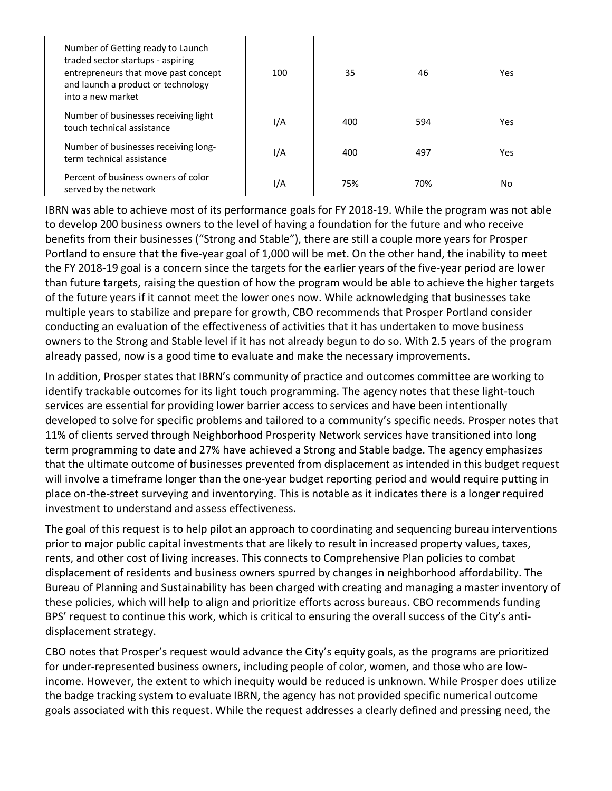| Number of Getting ready to Launch<br>traded sector startups - aspiring<br>entrepreneurs that move past concept<br>and launch a product or technology<br>into a new market | 100 | 35  | 46  | Yes |
|---------------------------------------------------------------------------------------------------------------------------------------------------------------------------|-----|-----|-----|-----|
| Number of businesses receiving light<br>touch technical assistance                                                                                                        | I/A | 400 | 594 | Yes |
| Number of businesses receiving long-<br>term technical assistance                                                                                                         | I/A | 400 | 497 | Yes |
| Percent of business owners of color<br>served by the network                                                                                                              | I/A | 75% | 70% | No. |

IBRN was able to achieve most of its performance goals for FY 2018-19. While the program was not able to develop 200 business owners to the level of having a foundation for the future and who receive benefits from their businesses ("Strong and Stable"), there are still a couple more years for Prosper Portland to ensure that the five-year goal of 1,000 will be met. On the other hand, the inability to meet the FY 2018-19 goal is a concern since the targets for the earlier years of the five-year period are lower than future targets, raising the question of how the program would be able to achieve the higher targets of the future years if it cannot meet the lower ones now. While acknowledging that businesses take multiple years to stabilize and prepare for growth, CBO recommends that Prosper Portland consider conducting an evaluation of the effectiveness of activities that it has undertaken to move business owners to the Strong and Stable level if it has not already begun to do so. With 2.5 years of the program already passed, now is a good time to evaluate and make the necessary improvements.

In addition, Prosper states that IBRN's community of practice and outcomes committee are working to identify trackable outcomes for its light touch programming. The agency notes that these light-touch services are essential for providing lower barrier access to services and have been intentionally developed to solve for specific problems and tailored to a community's specific needs. Prosper notes that 11% of clients served through Neighborhood Prosperity Network services have transitioned into long term programming to date and 27% have achieved a Strong and Stable badge. The agency emphasizes that the ultimate outcome of businesses prevented from displacement as intended in this budget request will involve a timeframe longer than the one-year budget reporting period and would require putting in place on-the-street surveying and inventorying. This is notable as it indicates there is a longer required investment to understand and assess effectiveness.

The goal of this request is to help pilot an approach to coordinating and sequencing bureau interventions prior to major public capital investments that are likely to result in increased property values, taxes, rents, and other cost of living increases. This connects to Comprehensive Plan policies to combat displacement of residents and business owners spurred by changes in neighborhood affordability. The Bureau of Planning and Sustainability has been charged with creating and managing a master inventory of these policies, which will help to align and prioritize efforts across bureaus. CBO recommends funding BPS' request to continue this work, which is critical to ensuring the overall success of the City's antidisplacement strategy.

CBO notes that Prosper's request would advance the City's equity goals, as the programs are prioritized for under-represented business owners, including people of color, women, and those who are lowincome. However, the extent to which inequity would be reduced is unknown. While Prosper does utilize the badge tracking system to evaluate IBRN, the agency has not provided specific numerical outcome goals associated with this request. While the request addresses a clearly defined and pressing need, the